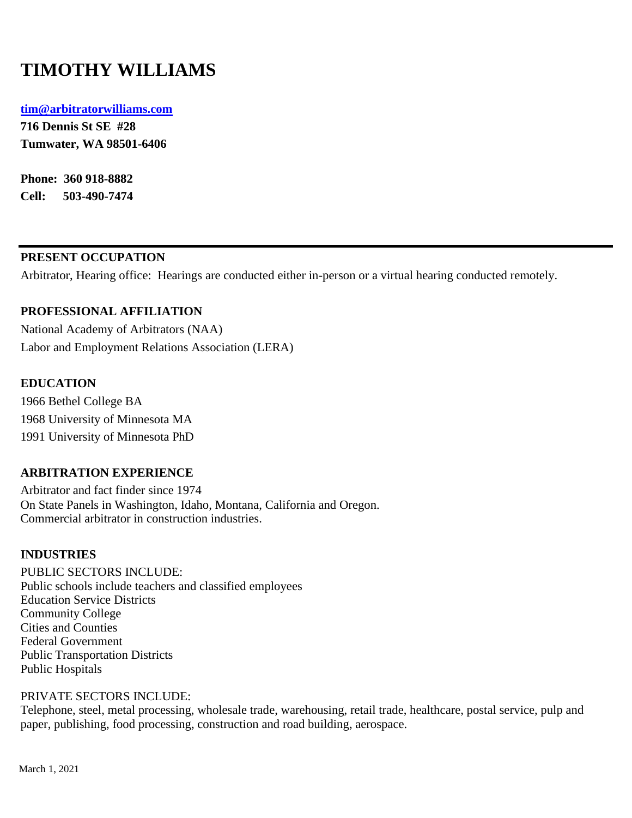# **TIMOTHY WILLIAMS**

#### **[tim@arbitratorwilliams.com](mailto:tim@arbitratorwilliams.com)**

**716 Dennis St SE #28 Tumwater, WA 98501-6406**

**Phone: 360 918-8882 Cell: 503-490-7474**

# **PRESENT OCCUPATION**

Arbitrator, Hearing office: Hearings are conducted either in-person or a virtual hearing conducted remotely.

# **PROFESSIONAL AFFILIATION**

National Academy of Arbitrators (NAA) Labor and Employment Relations Association (LERA)

#### **EDUCATION**

1966 Bethel College BA 1968 University of Minnesota MA 1991 University of Minnesota PhD

# **ARBITRATION EXPERIENCE**

Arbitrator and fact finder since 1974 On State Panels in Washington, Idaho, Montana, California and Oregon. Commercial arbitrator in construction industries.

#### **INDUSTRIES**

PUBLIC SECTORS INCLUDE: Public schools include teachers and classified employees Education Service Districts Community College Cities and Counties Federal Government Public Transportation Districts Public Hospitals

#### PRIVATE SECTORS INCLUDE:

Telephone, steel, metal processing, wholesale trade, warehousing, retail trade, healthcare, postal service, pulp and paper, publishing, food processing, construction and road building, aerospace.